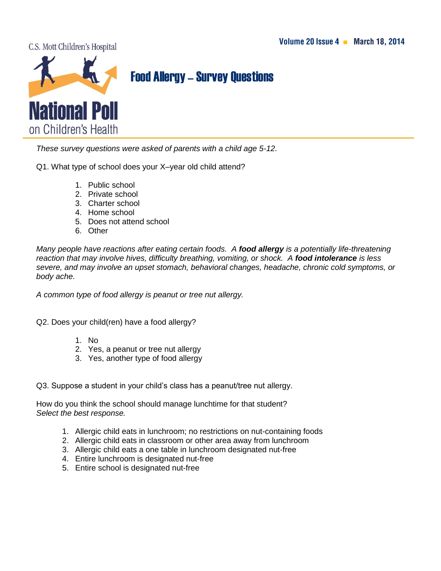C.S. Mott Children's Hospital



## Food Allergy–Survey Questions

*These survey questions were asked of parents with a child age 5-12.* 

Q1. What type of school does your X–year old child attend?

- 1. Public school
- 2. Private school
- 3. Charter school
- 4. Home school
- 5. Does not attend school
- 6. Other

*Many people have reactions after eating certain foods. A food allergy is a potentially life-threatening reaction that may involve hives, difficulty breathing, vomiting, or shock. A food intolerance is less severe, and may involve an upset stomach, behavioral changes, headache, chronic cold symptoms, or body ache.* 

*A common type of food allergy is peanut or tree nut allergy.* 

Q2. Does your child(ren) have a food allergy?

- 1. No
- 2. Yes, a peanut or tree nut allergy
- 3. Yes, another type of food allergy

Q3. Suppose a student in your child's class has a peanut/tree nut allergy.

How do you think the school should manage lunchtime for that student? *Select the best response.*

- 1. Allergic child eats in lunchroom; no restrictions on nut-containing foods
- 2. Allergic child eats in classroom or other area away from lunchroom
- 3. Allergic child eats a one table in lunchroom designated nut-free
- 4. Entire lunchroom is designated nut-free
- 5. Entire school is designated nut-free